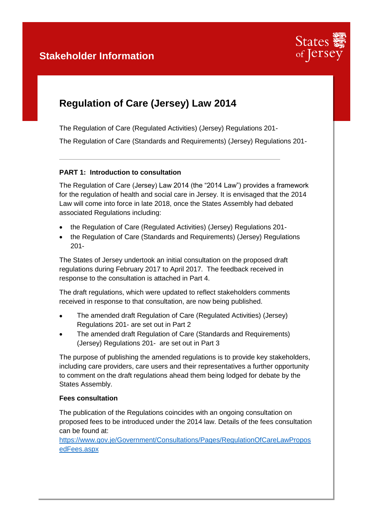

# **Regulation of Care (Jersey) Law 2014**

The Regulation of Care (Regulated Activities) (Jersey) Regulations 201- The Regulation of Care (Standards and Requirements) (Jersey) Regulations 201-

## **PART 1: Introduction to consultation**

The Regulation of Care (Jersey) Law 2014 (the "2014 Law") provides a framework for the regulation of health and social care in Jersey. It is envisaged that the 2014 Law will come into force in late 2018, once the States Assembly had debated associated Regulations including:

- the Regulation of Care (Regulated Activities) (Jersey) Regulations 201-
- the Regulation of Care (Standards and Reguirements) (Jersey) Regulations 201-

The States of Jersey undertook an initial consultation on the proposed draft regulations during February 2017 to April 2017. The feedback received in response to the consultation is attached in Part 4.

The draft regulations, which were updated to reflect stakeholders comments received in response to that consultation, are now being published.

- The amended draft Regulation of Care (Regulated Activities) (Jersey) Regulations 201- are set out in Part 2
- The amended draft Regulation of Care (Standards and Requirements) (Jersey) Regulations 201- are set out in Part 3

The purpose of publishing the amended regulations is to provide key stakeholders, including care providers, care users and their representatives a further opportunity to comment on the draft regulations ahead them being lodged for debate by the States Assembly.

### **Fees consultation**

The publication of the Regulations coincides with an ongoing consultation on proposed fees to be introduced under the 2014 law. Details of the fees consultation can be found at:

[https://www.gov.je/Government/Consultations/Pages/RegulationOfCareLawPropos](https://www.gov.je/Government/Consultations/Pages/RegulationOfCareLawProposedFees.aspx) [edFees.aspx](https://www.gov.je/Government/Consultations/Pages/RegulationOfCareLawProposedFees.aspx)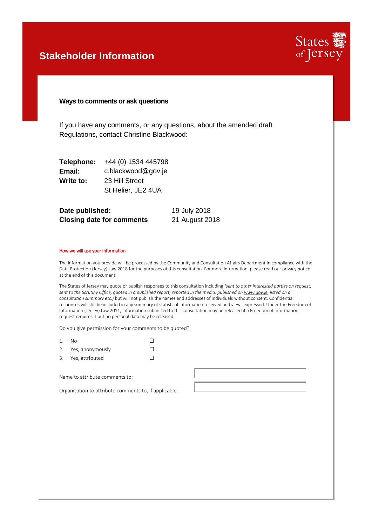## **Stakeholder Information**



### **Ways to comments or ask questions**

If you have any comments, or any questions, about the amended draft Regulations, contact Christine Blackwood:

| Telephone: | +44 (0) 1534 445798 |
|------------|---------------------|
| Email:     | c.blackwood@gov.je  |
| Write to:  | 23 Hill Street      |
|            | St Helier, JE2 4UA  |

| Date published:                  | 19 July 2018   |
|----------------------------------|----------------|
| <b>Closing date for comments</b> | 21 August 2018 |

#### How we will use your information

The information you provide will be processed by the Community and Consultation Affairs Department in compliance with the Data Protection (Jersey) Law 2018 for the purposes of this consultation. For more information, please read our privacy notice at the end of this document.

The States of Jersey may quote or publish responses to this consultation including *(sent to other interested parties on request, sent to the Scrutiny Office, quoted in a published report, reported in the media, published o[n www.gov.je,](http://www.gov.je/) listed on a consultation summary etc.)* but will not publish the names and addresses of individuals without consent. Confidential responses will still be included in any summary of statistical information received and views expressed. Under the Freedom of Information (Jersey) Law 2011, information submitted to this consultation may be released if a Freedom of Information request requires it but no personal data may be released.

Do you give permission for your comments to be quoted?

| 1. | - No                |  |
|----|---------------------|--|
|    | 2. Yes, anonymously |  |
|    |                     |  |

3. Yes, attributed  $\Box$ 

Name to attribute comments to:

Organisation to attribute comments to, if applicable: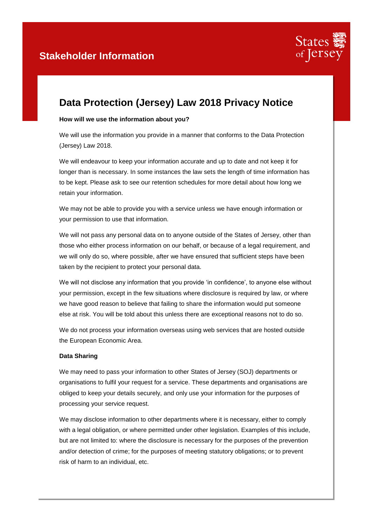

# **Data Protection (Jersey) Law 2018 Privacy Notice**

### **How will we use the information about you?**

We will use the information you provide in a manner that conforms to the Data Protection (Jersey) Law 2018.

We will endeavour to keep your information accurate and up to date and not keep it for longer than is necessary. In some instances the law sets the length of time information has to be kept. Please ask to see our retention schedules for more detail about how long we retain your information.

We may not be able to provide you with a service unless we have enough information or your permission to use that information.

We will not pass any personal data on to anyone outside of the States of Jersey, other than those who either process information on our behalf, or because of a legal requirement, and we will only do so, where possible, after we have ensured that sufficient steps have been taken by the recipient to protect your personal data.

We will not disclose any information that you provide 'in confidence', to anyone else without your permission, except in the few situations where disclosure is required by law, or where we have good reason to believe that failing to share the information would put someone else at risk. You will be told about this unless there are exceptional reasons not to do so.

We do not process your information overseas using web services that are hosted outside the European Economic Area.

### **Data Sharing**

We may need to pass your information to other States of Jersey (SOJ) departments or organisations to fulfil your request for a service. These departments and organisations are obliged to keep your details securely, and only use your information for the purposes of processing your service request.

We may disclose information to other departments where it is necessary, either to comply with a legal obligation, or where permitted under other legislation. Examples of this include, but are not limited to: where the disclosure is necessary for the purposes of the prevention and/or detection of crime; for the purposes of meeting statutory obligations; or to prevent risk of harm to an individual, etc.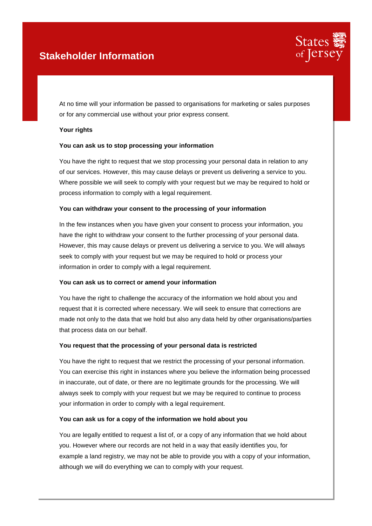## **Stakeholder Information**



At no time will your information be passed to organisations for marketing or sales purposes or for any commercial use without your prior express consent.

### **Your rights**

### **You can ask us to stop processing your information**

You have the right to request that we stop processing your personal data in relation to any of our services. However, this may cause delays or prevent us delivering a service to you. Where possible we will seek to comply with your request but we may be required to hold or process information to comply with a legal requirement.

### **You can withdraw your consent to the processing of your information**

In the few instances when you have given your consent to process your information, you have the right to withdraw your consent to the further processing of your personal data. However, this may cause delays or prevent us delivering a service to you. We will always seek to comply with your request but we may be required to hold or process your information in order to comply with a legal requirement.

### **You can ask us to correct or amend your information**

You have the right to challenge the accuracy of the information we hold about you and request that it is corrected where necessary. We will seek to ensure that corrections are made not only to the data that we hold but also any data held by other organisations/parties that process data on our behalf.

### **You request that the processing of your personal data is restricted**

You have the right to request that we restrict the processing of your personal information. You can exercise this right in instances where you believe the information being processed in inaccurate, out of date, or there are no legitimate grounds for the processing. We will always seek to comply with your request but we may be required to continue to process your information in order to comply with a legal requirement.

### **You can ask us for a copy of the information we hold about you**

You are legally entitled to request a list of, or a copy of any information that we hold about you. However where our records are not held in a way that easily identifies you, for example a land registry, we may not be able to provide you with a copy of your information, although we will do everything we can to comply with your request.